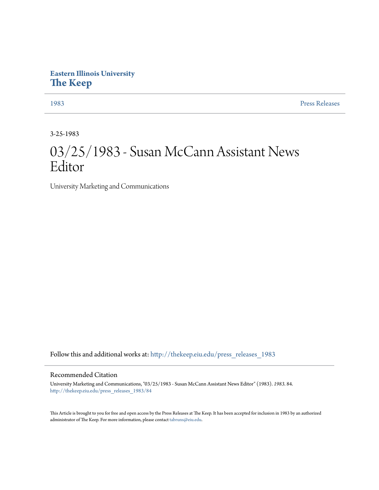## **Eastern Illinois University [The Keep](http://thekeep.eiu.edu?utm_source=thekeep.eiu.edu%2Fpress_releases_1983%2F84&utm_medium=PDF&utm_campaign=PDFCoverPages)**

[1983](http://thekeep.eiu.edu/press_releases_1983?utm_source=thekeep.eiu.edu%2Fpress_releases_1983%2F84&utm_medium=PDF&utm_campaign=PDFCoverPages) [Press Releases](http://thekeep.eiu.edu/press_releases_collection?utm_source=thekeep.eiu.edu%2Fpress_releases_1983%2F84&utm_medium=PDF&utm_campaign=PDFCoverPages)

3-25-1983

## 03/25/1983 - Susan McCann Assistant News Editor

University Marketing and Communications

Follow this and additional works at: [http://thekeep.eiu.edu/press\\_releases\\_1983](http://thekeep.eiu.edu/press_releases_1983?utm_source=thekeep.eiu.edu%2Fpress_releases_1983%2F84&utm_medium=PDF&utm_campaign=PDFCoverPages)

## Recommended Citation

University Marketing and Communications, "03/25/1983 - Susan McCann Assistant News Editor" (1983). *1983*. 84. [http://thekeep.eiu.edu/press\\_releases\\_1983/84](http://thekeep.eiu.edu/press_releases_1983/84?utm_source=thekeep.eiu.edu%2Fpress_releases_1983%2F84&utm_medium=PDF&utm_campaign=PDFCoverPages)

This Article is brought to you for free and open access by the Press Releases at The Keep. It has been accepted for inclusion in 1983 by an authorized administrator of The Keep. For more information, please contact [tabruns@eiu.edu.](mailto:tabruns@eiu.edu)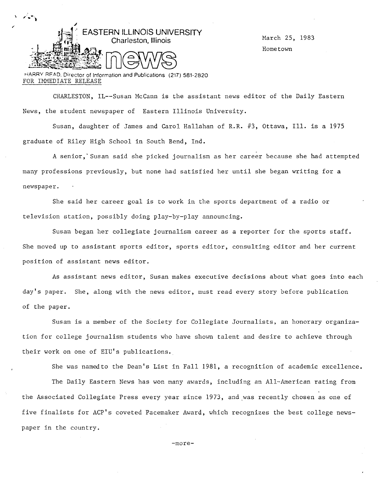

March 25, 1983 Hometown

ri.ARRV RFAD. Director of Information and Publications (217) 581-2820 FOR IMMEDIATE RELEASE

CHARLESTON, IL--Susan McCann is the assistant news editor of the Daily Eastern News, the student newspaper of Eastern Illinois University.

Susan, daughter of James and Carol Hallahan of R.R. #3, Ottawa, Ill. is a 1975 graduate of Riley High School in South Bend, Ind.

A senior, Susan said she picked journalism as her career because she had attempted many professions previously, but none had satisfied her until she began writing for a newspaper.

She said her career goal is to work in the sports department of a radio or television station, possibly doing play-by-play announcing.

Susan began her collegiate journalism career as a reporter for the sports staff. She moved up to assistant sports editor, sports editor, consulting editor and her current position of assistant news editor.

As assistant news editor, Susan makes executive decisions about what goes into each day's paper. She, along with the news editor, must read every story before publication of the paper.

Susan is a member of the Society for Collegiate Journalists, an honorary organization for college journalism students who have shown talent and desire to achieve through their work on one of EIU's publications.

She was namedto the Dean's List in Fall 1981, a recognition of academic excellence.

The Daily Eastern News has won many awards, including an All-American rating from the Associated Collegiate Press every year since 1973, and was recently chosen as one of five finalists for ACP's coveted Pacemaker Award, which recognizes the best college newspaper in the country.

-more-